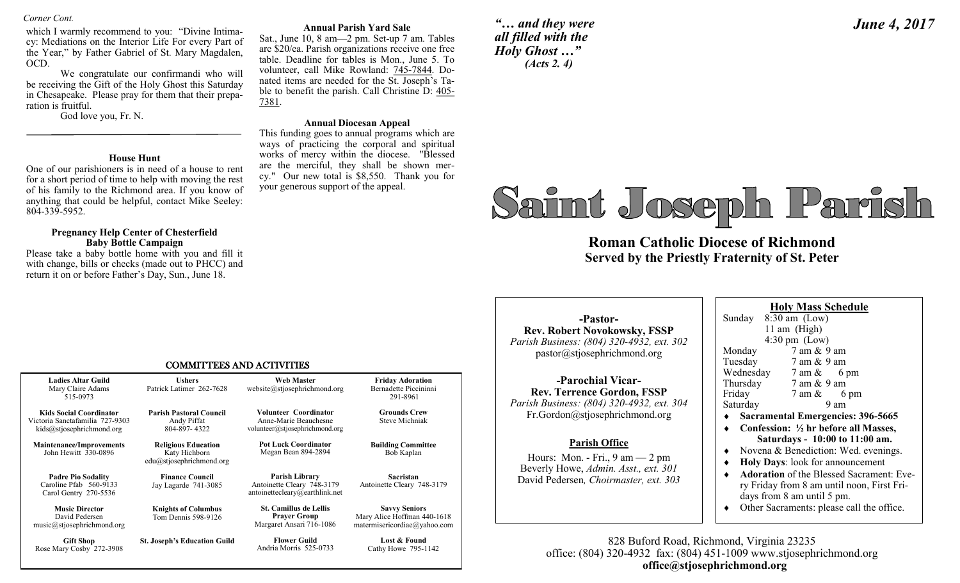*Corner Cont.* 

which I warmly recommend to you: "Divine Intimacy: Mediations on the Interior Life For every Part of the Year," by Father Gabriel of St. Mary Magdalen, OCD.

We congratulate our confirmandi who will be receiving the Gift of the Holy Ghost this Saturday in Chesapeake. Please pray for them that their preparation is fruitful.

God love you, Fr. N.

#### **House Hunt**

One of our parishioners is in need of a house to rent for a short period of time to help with moving the rest of his family to the Richmond area. If you know of anything that could be helpful, contact Mike Seeley: 804-339-5952.

#### **Pregnancy Help Center of Chesterfield Baby Bottle Campaign**

Please take a baby bottle home with you and fill it with change, bills or checks (made out to PHCC) and return it on or before Father's Day, Sun., June 18.

#### **Annual Parish Yard Sale**

Sat., June 10, 8 am—2 pm. Set-up 7 am. Tables are \$20/ea. Parish organizations receive one free table. Deadline for tables is Mon., June 5. To volunteer, call Mike Rowland: 745-7844. Donated items are needed for the St. Joseph's Table to benefit the parish. Call Christine D: 405- 7381.

#### **Annual Diocesan Appeal**

This funding goes to annual programs which are ways of practicing the corporal and spiritual works of mercy within the diocese. "Blessed are the merciful, they shall be shown mercy." Our new total is \$8,550. Thank you for your generous support of the appeal.

*"… and they were all filled with the Holy Ghost …" (Acts 2. 4)*

# *June 4, 2017*

# Saimt Joseph Parish

**Roman Catholic Diocese of Richmond Served by the Priestly Fraternity of St. Peter** 

#### COMMITTEES AND ACTIVITIES

| <b>Ladies Altar Guild</b><br>Mary Claire Adams<br>515-0973                                     | <b>Ushers</b><br>Patrick Latimer 262-7628                                    | <b>Web Master</b><br>website@stjosephrichmond.org                                | <b>Friday Adoration</b><br>Bernadette Piccininni<br>291-8961                        |  |
|------------------------------------------------------------------------------------------------|------------------------------------------------------------------------------|----------------------------------------------------------------------------------|-------------------------------------------------------------------------------------|--|
| <b>Kids Social Coordinator</b><br>Victoria Sanctafamilia 727-9303<br>kids@stjosephrichmond.org | <b>Parish Pastoral Council</b><br>Andy Piffat<br>804-897-4322                | Volunteer Coordinator<br>Anne-Marie Beauchesne<br>volunteer@stjosephrichmond.org | <b>Grounds Crew</b><br><b>Steve Michniak</b>                                        |  |
| <b>Maintenance/Improvements</b><br>John Hewitt 330-0896                                        | <b>Religious Education</b><br>Katy Hichborn<br>$edu(a)$ stjosephrichmond.org | <b>Pot Luck Coordinator</b><br>Megan Bean 894-2894                               | <b>Building Committee</b><br>Bob Kaplan                                             |  |
| <b>Padre Pio Sodality</b><br>Caroline Pfab 560-9133<br>Carol Gentry 270-5536                   | <b>Finance Council</b><br>Jay Lagarde 741-3085                               | Parish Library<br>Antoinette Cleary 748-3179<br>antoinettecleary@earthlink.net   | Sacristan<br>Antoinette Cleary 748-3179                                             |  |
| <b>Music Director</b><br>David Pedersen<br>music@stjosephrichmond.org                          | <b>Knights of Columbus</b><br>Tom Dennis 598-9126                            | <b>St. Camillus de Lellis</b><br><b>Prayer Group</b><br>Margaret Ansari 716-1086 | <b>Savvy Seniors</b><br>Mary Alice Hoffman 440-1618<br>matermisericordiae@yahoo.com |  |
| <b>Gift Shop</b><br>Rose Mary Cosby 272-3908                                                   | <b>St. Joseph's Education Guild</b>                                          | <b>Flower Guild</b><br>Andria Morris 525-0733                                    | Lost & Found<br>Cathy Howe 795-1142                                                 |  |

**-Pastor-Rev. Robert Novokowsky, FSSP** *Parish Business: (804) 320-4932, ext. 302* pastor@stjosephrichmond.org

**-Parochial Vicar-Rev. Terrence Gordon, FSSP** *Parish Business: (804) 320-4932, ext. 304* Fr.Gordon@stjosephrichmond.org

#### **Parish Office**

Hours: Mon. - Fri., 9 am — 2 pm Beverly Howe, *Admin. Asst., ext. 301*  David Pedersen*, Choirmaster, ext. 303*

**Holy Mass Schedule**  Sunday  $8:30 \text{ am } (\text{Low})$  11 am (High) 4:30 pm (Low) Monday 7 am & 9 am Tuesday 7 am & 9 am Wednesday 7 am & 6 pm Thursday 7 am & 9 am Friday 7 am & 6 pm<br>Saturday 9 am Saturday

- **Sacramental Emergencies: 396-5665**
- **Confession: ½ hr before all Masses, Saturdays - 10:00 to 11:00 am.**
- Novena & Benediction: Wed. evenings.
- **Holy Days**: look for announcement
- **Adoration** of the Blessed Sacrament: Every Friday from 8 am until noon, First Fridays from 8 am until 5 pm.
- Other Sacraments: please call the office.

828 Buford Road, Richmond, Virginia 23235 office: (804) 320-4932 fax: (804) 451-1009 www.stjosephrichmond.org  **office@stjosephrichmond.org**